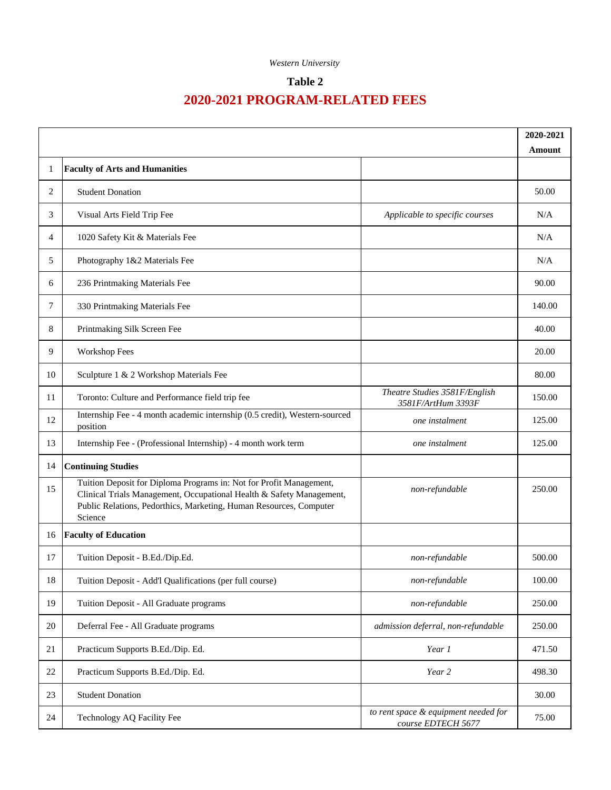## **Table 2**

|        |                                                                                                                                                                                                                              | 2020-2021                                                  |        |
|--------|------------------------------------------------------------------------------------------------------------------------------------------------------------------------------------------------------------------------------|------------------------------------------------------------|--------|
|        |                                                                                                                                                                                                                              |                                                            | Amount |
| 1      | <b>Faculty of Arts and Humanities</b>                                                                                                                                                                                        |                                                            |        |
| 2      | <b>Student Donation</b>                                                                                                                                                                                                      |                                                            | 50.00  |
| 3      | Visual Arts Field Trip Fee                                                                                                                                                                                                   | Applicable to specific courses                             | N/A    |
| 4      | 1020 Safety Kit & Materials Fee                                                                                                                                                                                              |                                                            | N/A    |
| 5      | Photography 1&2 Materials Fee                                                                                                                                                                                                |                                                            | N/A    |
| 6      | 236 Printmaking Materials Fee                                                                                                                                                                                                |                                                            | 90.00  |
| 7      | 330 Printmaking Materials Fee                                                                                                                                                                                                |                                                            | 140.00 |
| 8      | Printmaking Silk Screen Fee                                                                                                                                                                                                  |                                                            | 40.00  |
| 9      | Workshop Fees                                                                                                                                                                                                                |                                                            | 20.00  |
| 10     | Sculpture 1 & 2 Workshop Materials Fee                                                                                                                                                                                       |                                                            | 80.00  |
| 11     | Toronto: Culture and Performance field trip fee                                                                                                                                                                              | Theatre Studies 3581F/English<br>3581F/ArtHum 3393F        | 150.00 |
| 12     | Internship Fee - 4 month academic internship (0.5 credit), Western-sourced<br>position                                                                                                                                       | one instalment                                             | 125.00 |
| 13     | Internship Fee - (Professional Internship) - 4 month work term                                                                                                                                                               | one instalment                                             | 125.00 |
| 14     | <b>Continuing Studies</b>                                                                                                                                                                                                    |                                                            |        |
| 15     | Tuition Deposit for Diploma Programs in: Not for Profit Management,<br>Clinical Trials Management, Occupational Health & Safety Management,<br>Public Relations, Pedorthics, Marketing, Human Resources, Computer<br>Science | non-refundable                                             | 250.00 |
| 16     | <b>Faculty of Education</b>                                                                                                                                                                                                  |                                                            |        |
| 17     | Tuition Deposit - B.Ed./Dip.Ed.                                                                                                                                                                                              | non-refundable                                             | 500.00 |
| 18     | Tuition Deposit - Add'l Qualifications (per full course)                                                                                                                                                                     | non-refundable                                             | 100.00 |
| 19     | Tuition Deposit - All Graduate programs                                                                                                                                                                                      | non-refundable                                             | 250.00 |
| 20     | Deferral Fee - All Graduate programs                                                                                                                                                                                         | admission deferral, non-refundable                         | 250.00 |
| 21     | Practicum Supports B.Ed./Dip. Ed.                                                                                                                                                                                            | Year 1                                                     | 471.50 |
| $22\,$ | Practicum Supports B.Ed./Dip. Ed.                                                                                                                                                                                            | Year 2                                                     | 498.30 |
| 23     | <b>Student Donation</b>                                                                                                                                                                                                      |                                                            | 30.00  |
| 24     | Technology AQ Facility Fee                                                                                                                                                                                                   | to rent space & equipment needed for<br>course EDTECH 5677 | 75.00  |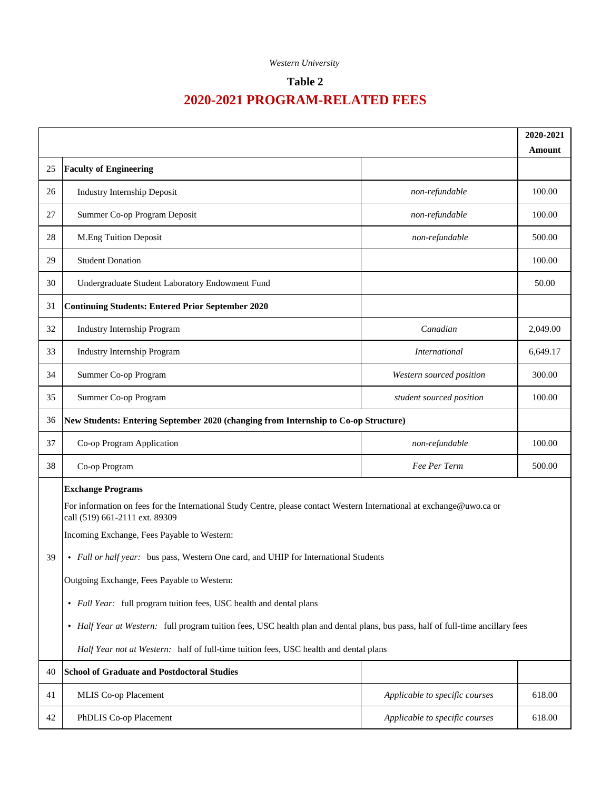## **Table 2**

|    |                                                                                                                                                          |                                | Amount   |
|----|----------------------------------------------------------------------------------------------------------------------------------------------------------|--------------------------------|----------|
| 25 | <b>Faculty of Engineering</b>                                                                                                                            |                                |          |
| 26 | Industry Internship Deposit                                                                                                                              | non-refundable                 | 100.00   |
| 27 | Summer Co-op Program Deposit                                                                                                                             | non-refundable                 | 100.00   |
| 28 | M.Eng Tuition Deposit                                                                                                                                    | non-refundable                 | 500.00   |
| 29 | <b>Student Donation</b>                                                                                                                                  |                                | 100.00   |
| 30 | Undergraduate Student Laboratory Endowment Fund                                                                                                          |                                | 50.00    |
| 31 | <b>Continuing Students: Entered Prior September 2020</b>                                                                                                 |                                |          |
| 32 | Industry Internship Program                                                                                                                              | Canadian                       | 2,049.00 |
| 33 | Industry Internship Program                                                                                                                              | <b>International</b>           | 6,649.17 |
| 34 | Summer Co-op Program                                                                                                                                     | Western sourced position       | 300.00   |
| 35 | Summer Co-op Program                                                                                                                                     | student sourced position       | 100.00   |
| 36 | New Students: Entering September 2020 (changing from Internship to Co-op Structure)                                                                      |                                |          |
| 37 | Co-op Program Application                                                                                                                                | non-refundable                 | 100.00   |
| 38 | Co-op Program                                                                                                                                            | Fee Per Term                   | 500.00   |
|    | <b>Exchange Programs</b>                                                                                                                                 |                                |          |
|    | For information on fees for the International Study Centre, please contact Western International at exchange@uwo.ca or<br>call (519) 661-2111 ext. 89309 |                                |          |
|    | Incoming Exchange, Fees Payable to Western:                                                                                                              |                                |          |
| 39 | • Full or half year: bus pass, Western One card, and UHIP for International Students                                                                     |                                |          |
|    | Outgoing Exchange, Fees Payable to Western:                                                                                                              |                                |          |
|    | • Full Year: full program tuition fees, USC health and dental plans                                                                                      |                                |          |
|    | • Half Year at Western: full program tuition fees, USC health plan and dental plans, bus pass, half of full-time ancillary fees                          |                                |          |
|    | Half Year not at Western: half of full-time tuition fees, USC health and dental plans                                                                    |                                |          |
| 40 | <b>School of Graduate and Postdoctoral Studies</b>                                                                                                       |                                |          |
| 41 | MLIS Co-op Placement                                                                                                                                     | Applicable to specific courses | 618.00   |
| 42 | PhDLIS Co-op Placement                                                                                                                                   | Applicable to specific courses | 618.00   |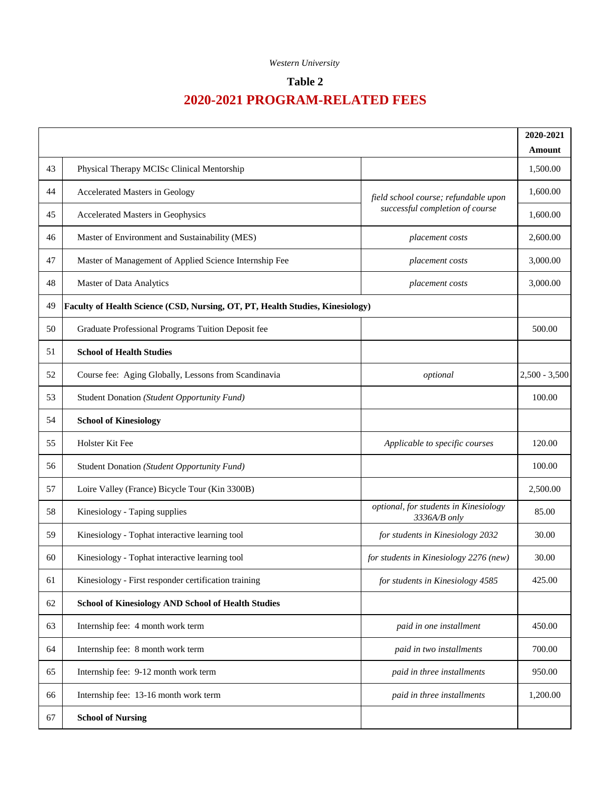## **Table 2**

|    |                                                                               |                                                                         | 2020-2021          |
|----|-------------------------------------------------------------------------------|-------------------------------------------------------------------------|--------------------|
| 43 | Physical Therapy MCISc Clinical Mentorship                                    |                                                                         | Amount<br>1,500.00 |
| 44 | Accelerated Masters in Geology                                                |                                                                         | 1,600.00           |
| 45 | Accelerated Masters in Geophysics                                             | field school course; refundable upon<br>successful completion of course | 1,600.00           |
| 46 | Master of Environment and Sustainability (MES)                                | placement costs                                                         | 2,600.00           |
| 47 | Master of Management of Applied Science Internship Fee                        | placement costs                                                         | 3,000.00           |
| 48 | Master of Data Analytics                                                      | placement costs                                                         | 3,000.00           |
| 49 | Faculty of Health Science (CSD, Nursing, OT, PT, Health Studies, Kinesiology) |                                                                         |                    |
| 50 | Graduate Professional Programs Tuition Deposit fee                            |                                                                         | 500.00             |
| 51 | <b>School of Health Studies</b>                                               |                                                                         |                    |
| 52 | Course fee: Aging Globally, Lessons from Scandinavia                          | optional                                                                | $2,500 - 3,500$    |
| 53 | Student Donation (Student Opportunity Fund)                                   |                                                                         | 100.00             |
| 54 | <b>School of Kinesiology</b>                                                  |                                                                         |                    |
| 55 | Holster Kit Fee                                                               | Applicable to specific courses                                          | 120.00             |
| 56 | Student Donation (Student Opportunity Fund)                                   |                                                                         | 100.00             |
| 57 | Loire Valley (France) Bicycle Tour (Kin 3300B)                                |                                                                         | 2,500.00           |
| 58 | Kinesiology - Taping supplies                                                 | optional, for students in Kinesiology<br>3336A/B only                   | 85.00              |
| 59 | Kinesiology - Tophat interactive learning tool                                | for students in Kinesiology 2032                                        | 30.00              |
| 60 | Kinesiology - Tophat interactive learning tool                                | for students in Kinesiology 2276 (new)                                  | 30.00              |
| 61 | Kinesiology - First responder certification training                          | for students in Kinesiology 4585                                        | 425.00             |
| 62 | <b>School of Kinesiology AND School of Health Studies</b>                     |                                                                         |                    |
| 63 | Internship fee: 4 month work term                                             | paid in one installment                                                 | 450.00             |
| 64 | Internship fee: 8 month work term                                             | paid in two installments                                                | 700.00             |
| 65 | Internship fee: 9-12 month work term                                          | paid in three installments                                              | 950.00             |
| 66 | Internship fee: 13-16 month work term                                         | paid in three installments                                              | 1,200.00           |
| 67 | <b>School of Nursing</b>                                                      |                                                                         |                    |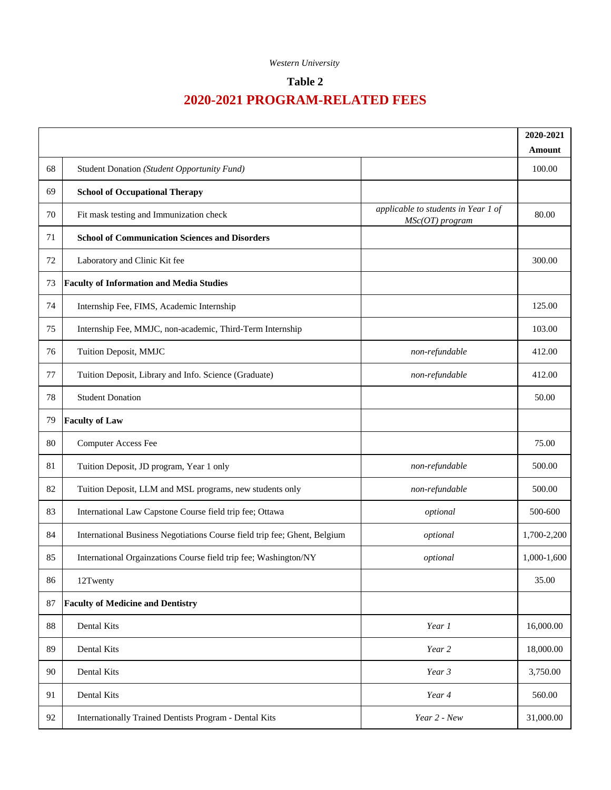## **Table 2**

|        |                                                                           |                                                        | 2020-2021   |
|--------|---------------------------------------------------------------------------|--------------------------------------------------------|-------------|
|        |                                                                           |                                                        | Amount      |
| 68     | Student Donation (Student Opportunity Fund)                               |                                                        | 100.00      |
| 69     | <b>School of Occupational Therapy</b>                                     |                                                        |             |
| 70     | Fit mask testing and Immunization check                                   | applicable to students in Year 1 of<br>MSc(OT) program | 80.00       |
| 71     | <b>School of Communication Sciences and Disorders</b>                     |                                                        |             |
| 72     | Laboratory and Clinic Kit fee                                             |                                                        | 300.00      |
| 73     | <b>Faculty of Information and Media Studies</b>                           |                                                        |             |
| 74     | Internship Fee, FIMS, Academic Internship                                 |                                                        | 125.00      |
| 75     | Internship Fee, MMJC, non-academic, Third-Term Internship                 |                                                        | 103.00      |
| 76     | Tuition Deposit, MMJC                                                     | non-refundable                                         | 412.00      |
| 77     | Tuition Deposit, Library and Info. Science (Graduate)                     | non-refundable                                         | 412.00      |
| 78     | <b>Student Donation</b>                                                   |                                                        | 50.00       |
| 79     | <b>Faculty of Law</b>                                                     |                                                        |             |
| 80     | <b>Computer Access Fee</b>                                                |                                                        | 75.00       |
| 81     | Tuition Deposit, JD program, Year 1 only                                  | non-refundable                                         | 500.00      |
| 82     | Tuition Deposit, LLM and MSL programs, new students only                  | non-refundable                                         | 500.00      |
| 83     | International Law Capstone Course field trip fee; Ottawa                  | optional                                               | 500-600     |
| 84     | International Business Negotiations Course field trip fee; Ghent, Belgium | optional                                               | 1,700-2,200 |
| 85     | International Orgainzations Course field trip fee; Washington/NY          | optional                                               | 1,000-1,600 |
| 86     | 12Twenty                                                                  |                                                        | 35.00       |
| 87     | <b>Faculty of Medicine and Dentistry</b>                                  |                                                        |             |
| $88\,$ | Dental Kits                                                               | Year 1                                                 | 16,000.00   |
| 89     | Dental Kits                                                               | Year 2                                                 | 18,000.00   |
| 90     | Dental Kits                                                               | Year 3                                                 | 3,750.00    |
| 91     | Dental Kits                                                               | Year 4                                                 | 560.00      |
| 92     | Internationally Trained Dentists Program - Dental Kits                    | Year 2 - New                                           | 31,000.00   |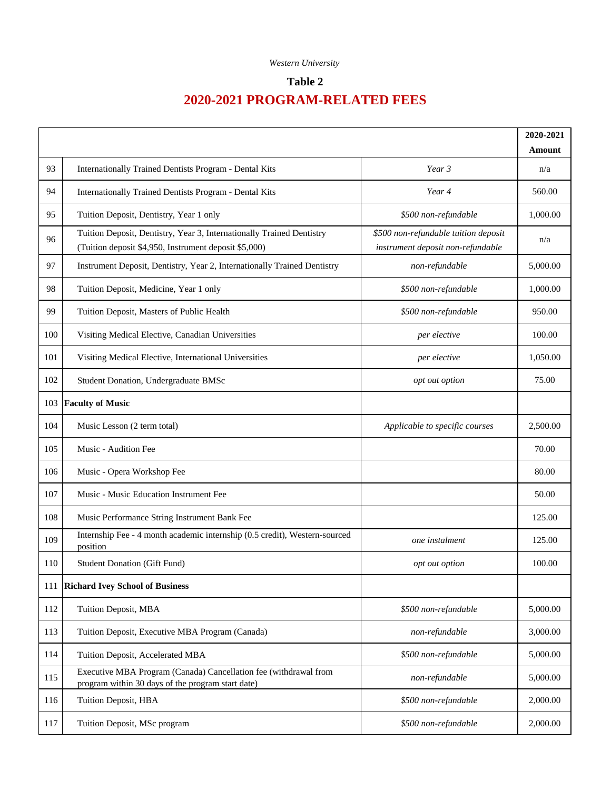## **Table 2**

|     |                                                                                                                                |                                                                           | 2020-2021 |
|-----|--------------------------------------------------------------------------------------------------------------------------------|---------------------------------------------------------------------------|-----------|
|     |                                                                                                                                |                                                                           | Amount    |
| 93  | Internationally Trained Dentists Program - Dental Kits                                                                         | Year 3                                                                    | n/a       |
| 94  | Internationally Trained Dentists Program - Dental Kits                                                                         | Year 4                                                                    | 560.00    |
| 95  | Tuition Deposit, Dentistry, Year 1 only                                                                                        | \$500 non-refundable                                                      | 1,000.00  |
| 96  | Tuition Deposit, Dentistry, Year 3, Internationally Trained Dentistry<br>(Tuition deposit \$4,950, Instrument deposit \$5,000) | \$500 non-refundable tuition deposit<br>instrument deposit non-refundable | n/a       |
| 97  | Instrument Deposit, Dentistry, Year 2, Internationally Trained Dentistry                                                       | non-refundable                                                            | 5,000.00  |
| 98  | Tuition Deposit, Medicine, Year 1 only                                                                                         | \$500 non-refundable                                                      | 1,000.00  |
| 99  | Tuition Deposit, Masters of Public Health                                                                                      | \$500 non-refundable                                                      | 950.00    |
| 100 | Visiting Medical Elective, Canadian Universities                                                                               | per elective                                                              | 100.00    |
| 101 | Visiting Medical Elective, International Universities                                                                          | per elective                                                              | 1,050.00  |
| 102 | Student Donation, Undergraduate BMSc                                                                                           | opt out option                                                            | 75.00     |
| 103 | <b>Faculty of Music</b>                                                                                                        |                                                                           |           |
| 104 | Music Lesson (2 term total)                                                                                                    | Applicable to specific courses                                            | 2,500.00  |
| 105 | Music - Audition Fee                                                                                                           |                                                                           | 70.00     |
| 106 | Music - Opera Workshop Fee                                                                                                     |                                                                           | 80.00     |
| 107 | Music - Music Education Instrument Fee                                                                                         |                                                                           | 50.00     |
| 108 | Music Performance String Instrument Bank Fee                                                                                   |                                                                           | 125.00    |
| 109 | Internship Fee - 4 month academic internship (0.5 credit), Western-sourced<br>position                                         | one instalment                                                            | 125.00    |
| 110 | <b>Student Donation (Gift Fund)</b>                                                                                            | opt out option                                                            | 100.00    |
| 111 | <b>Richard Ivey School of Business</b>                                                                                         |                                                                           |           |
| 112 | Tuition Deposit, MBA                                                                                                           | \$500 non-refundable                                                      | 5,000.00  |
| 113 | Tuition Deposit, Executive MBA Program (Canada)                                                                                | non-refundable                                                            | 3,000.00  |
| 114 | Tuition Deposit, Accelerated MBA                                                                                               | \$500 non-refundable                                                      | 5,000.00  |
| 115 | Executive MBA Program (Canada) Cancellation fee (withdrawal from<br>program within 30 days of the program start date)          | non-refundable                                                            | 5,000.00  |
| 116 | Tuition Deposit, HBA                                                                                                           | \$500 non-refundable                                                      | 2,000.00  |
| 117 | Tuition Deposit, MSc program                                                                                                   | \$500 non-refundable                                                      | 2,000.00  |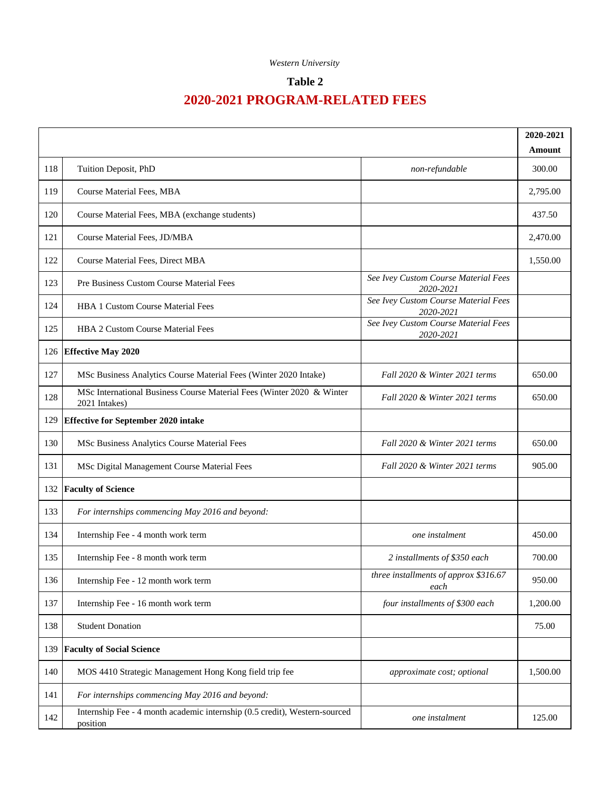## **Table 2**

|     |                                                                                        |                                                   | 2020-2021 |
|-----|----------------------------------------------------------------------------------------|---------------------------------------------------|-----------|
|     |                                                                                        |                                                   | Amount    |
| 118 | Tuition Deposit, PhD                                                                   | non-refundable                                    | 300.00    |
| 119 | Course Material Fees, MBA                                                              |                                                   | 2,795.00  |
| 120 | Course Material Fees, MBA (exchange students)                                          |                                                   | 437.50    |
| 121 | Course Material Fees, JD/MBA                                                           |                                                   | 2,470.00  |
| 122 | Course Material Fees, Direct MBA                                                       |                                                   | 1,550.00  |
| 123 | Pre Business Custom Course Material Fees                                               | See Ivey Custom Course Material Fees<br>2020-2021 |           |
| 124 | <b>HBA 1 Custom Course Material Fees</b>                                               | See Ivey Custom Course Material Fees<br>2020-2021 |           |
| 125 | <b>HBA 2 Custom Course Material Fees</b>                                               | See Ivey Custom Course Material Fees<br>2020-2021 |           |
|     | 126 Effective May 2020                                                                 |                                                   |           |
| 127 | MSc Business Analytics Course Material Fees (Winter 2020 Intake)                       | Fall 2020 & Winter 2021 terms                     | 650.00    |
| 128 | MSc International Business Course Material Fees (Winter 2020 & Winter<br>2021 Intakes) | Fall 2020 & Winter 2021 terms                     | 650.00    |
| 129 | <b>Effective for September 2020 intake</b>                                             |                                                   |           |
| 130 | MSc Business Analytics Course Material Fees                                            | Fall 2020 & Winter 2021 terms                     | 650.00    |
| 131 | MSc Digital Management Course Material Fees                                            | Fall 2020 & Winter 2021 terms                     | 905.00    |
| 132 | <b>Faculty of Science</b>                                                              |                                                   |           |
| 133 | For internships commencing May 2016 and beyond:                                        |                                                   |           |
| 134 | Internship Fee - 4 month work term                                                     | one instalment                                    | 450.00    |
| 135 | Internship Fee - 8 month work term                                                     | 2 installments of \$350 each                      | 700.00    |
| 136 | Internship Fee - 12 month work term                                                    | three installments of approx \$316.67<br>each     | 950.00    |
| 137 | Internship Fee - 16 month work term                                                    | four installments of \$300 each                   | 1,200.00  |
| 138 | <b>Student Donation</b>                                                                |                                                   | 75.00     |
| 139 | <b>Faculty of Social Science</b>                                                       |                                                   |           |
| 140 | MOS 4410 Strategic Management Hong Kong field trip fee                                 | approximate cost; optional                        | 1,500.00  |
| 141 | For internships commencing May 2016 and beyond:                                        |                                                   |           |
| 142 | Internship Fee - 4 month academic internship (0.5 credit), Western-sourced<br>position | one instalment                                    | 125.00    |